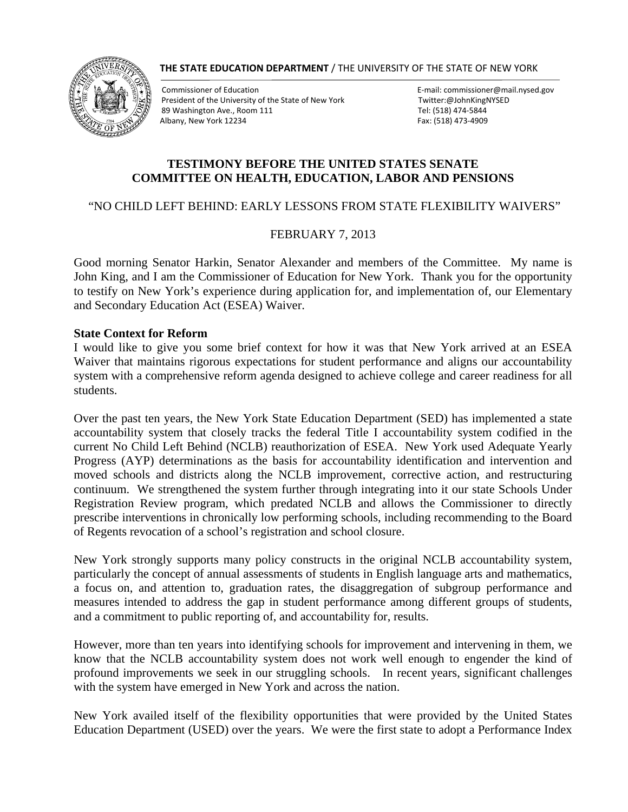#### **THE STATE EDUCATION DEPARTMENT** / THE UNIVERSITY OF THE STATE OF NEW YORK



Commissioner of Education<br>
President of the University of the State of New York<br>
Twitter:@JohnKingNYSED President of the University of the State of New York 89 Washington Ave., Room 111 Tel: (518) 474‐5844 Albany, New York 12234 Fax: (518) 473‐4909

## **TESTIMONY BEFORE THE UNITED STATES SENATE COMMITTEE ON HEALTH, EDUCATION, LABOR AND PENSIONS**

### "NO CHILD LEFT BEHIND: EARLY LESSONS FROM STATE FLEXIBILITY WAIVERS"

### FEBRUARY 7, 2013

Good morning Senator Harkin, Senator Alexander and members of the Committee. My name is John King, and I am the Commissioner of Education for New York. Thank you for the opportunity to testify on New York's experience during application for, and implementation of, our Elementary and Secondary Education Act (ESEA) Waiver.

#### **State Context for Reform**

I would like to give you some brief context for how it was that New York arrived at an ESEA Waiver that maintains rigorous expectations for student performance and aligns our accountability system with a comprehensive reform agenda designed to achieve college and career readiness for all students.

Over the past ten years, the New York State Education Department (SED) has implemented a state accountability system that closely tracks the federal Title I accountability system codified in the current No Child Left Behind (NCLB) reauthorization of ESEA. New York used Adequate Yearly Progress (AYP) determinations as the basis for accountability identification and intervention and moved schools and districts along the NCLB improvement, corrective action, and restructuring continuum. We strengthened the system further through integrating into it our state Schools Under Registration Review program, which predated NCLB and allows the Commissioner to directly prescribe interventions in chronically low performing schools, including recommending to the Board of Regents revocation of a school's registration and school closure.

New York strongly supports many policy constructs in the original NCLB accountability system, particularly the concept of annual assessments of students in English language arts and mathematics, a focus on, and attention to, graduation rates, the disaggregation of subgroup performance and measures intended to address the gap in student performance among different groups of students, and a commitment to public reporting of, and accountability for, results.

However, more than ten years into identifying schools for improvement and intervening in them, we know that the NCLB accountability system does not work well enough to engender the kind of profound improvements we seek in our struggling schools. In recent years, significant challenges with the system have emerged in New York and across the nation.

New York availed itself of the flexibility opportunities that were provided by the United States Education Department (USED) over the years. We were the first state to adopt a Performance Index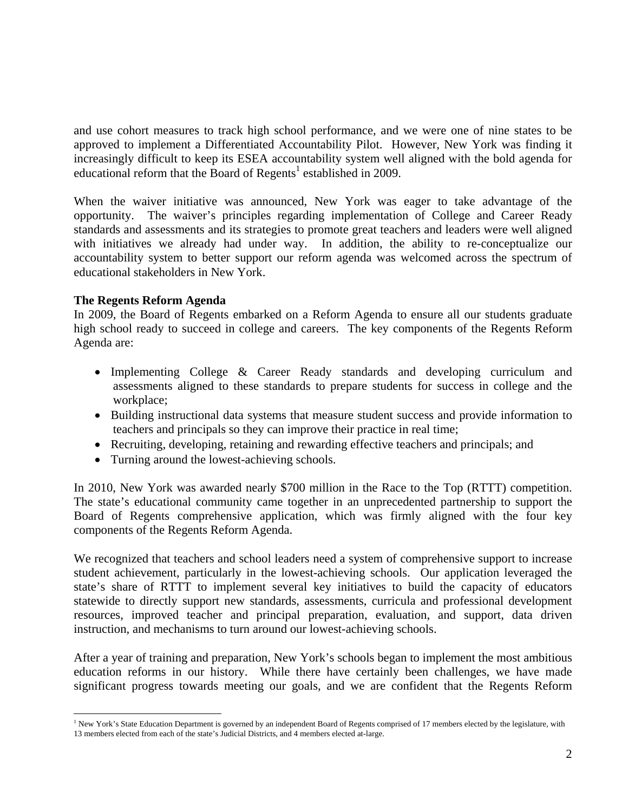and use cohort measures to track high school performance, and we were one of nine states to be approved to implement a Differentiated Accountability Pilot. However, New York was finding it increasingly difficult to keep its ESEA accountability system well aligned with the bold agenda for educational reform that the Board of Regents<sup>1</sup> established in 2009.

When the waiver initiative was announced, New York was eager to take advantage of the opportunity. The waiver's principles regarding implementation of College and Career Ready standards and assessments and its strategies to promote great teachers and leaders were well aligned with initiatives we already had under way. In addition, the ability to re-conceptualize our accountability system to better support our reform agenda was welcomed across the spectrum of educational stakeholders in New York.

### **The Regents Reform Agenda**

In 2009, the Board of Regents embarked on a Reform Agenda to ensure all our students graduate high school ready to succeed in college and careers. The key components of the Regents Reform Agenda are:

- Implementing College & Career Ready standards and developing curriculum and assessments aligned to these standards to prepare students for success in college and the workplace;
- Building instructional data systems that measure student success and provide information to teachers and principals so they can improve their practice in real time;
- Recruiting, developing, retaining and rewarding effective teachers and principals; and
- Turning around the lowest-achieving schools.

In 2010, New York was awarded nearly \$700 million in the Race to the Top (RTTT) competition. The state's educational community came together in an unprecedented partnership to support the Board of Regents comprehensive application, which was firmly aligned with the four key components of the Regents Reform Agenda.

We recognized that teachers and school leaders need a system of comprehensive support to increase student achievement, particularly in the lowest-achieving schools. Our application leveraged the state's share of RTTT to implement several key initiatives to build the capacity of educators statewide to directly support new standards, assessments, curricula and professional development resources, improved teacher and principal preparation, evaluation, and support, data driven instruction, and mechanisms to turn around our lowest-achieving schools.

After a year of training and preparation, New York's schools began to implement the most ambitious education reforms in our history. While there have certainly been challenges, we have made significant progress towards meeting our goals, and we are confident that the Regents Reform

<sup>1</sup> <sup>1</sup> New York's State Education Department is governed by an independent Board of Regents comprised of 17 members elected by the legislature, with 13 members elected from each of the state's Judicial Districts, and 4 members elected at-large.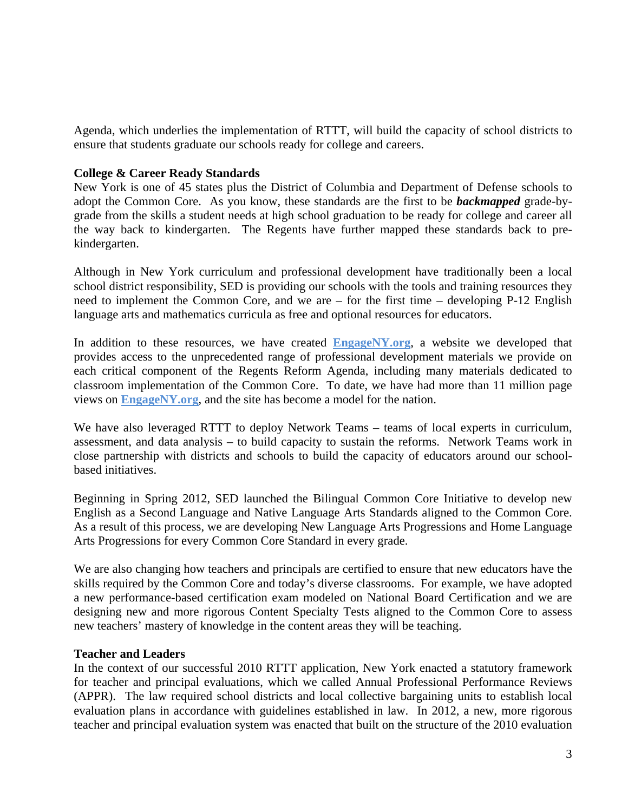Agenda, which underlies the implementation of RTTT, will build the capacity of school districts to ensure that students graduate our schools ready for college and careers.

## **College & Career Ready Standards**

New York is one of 45 states plus the District of Columbia and Department of Defense schools to adopt the Common Core. As you know, these standards are the first to be *backmapped* grade-bygrade from the skills a student needs at high school graduation to be ready for college and career all the way back to kindergarten. The Regents have further mapped these standards back to prekindergarten.

Although in New York curriculum and professional development have traditionally been a local school district responsibility, SED is providing our schools with the tools and training resources they need to implement the Common Core, and we are – for the first time – developing P-12 English language arts and mathematics curricula as free and optional resources for educators.

In addition to these resources, we have created **EngageNY.org**, a website we developed that provides access to the unprecedented range of professional development materials we provide on each critical component of the Regents Reform Agenda, including many materials dedicated to classroom implementation of the Common Core. To date, we have had more than 11 million page views on **EngageNY.org**, and the site has become a model for the nation.

We have also leveraged RTTT to deploy Network Teams – teams of local experts in curriculum, assessment, and data analysis – to build capacity to sustain the reforms. Network Teams work in close partnership with districts and schools to build the capacity of educators around our schoolbased initiatives.

Beginning in Spring 2012, SED launched the Bilingual Common Core Initiative to develop new English as a Second Language and Native Language Arts Standards aligned to the Common Core. As a result of this process, we are developing New Language Arts Progressions and Home Language Arts Progressions for every Common Core Standard in every grade.

We are also changing how teachers and principals are certified to ensure that new educators have the skills required by the Common Core and today's diverse classrooms. For example, we have adopted a new performance-based certification exam modeled on National Board Certification and we are designing new and more rigorous Content Specialty Tests aligned to the Common Core to assess new teachers' mastery of knowledge in the content areas they will be teaching.

### **Teacher and Leaders**

In the context of our successful 2010 RTTT application, New York enacted a statutory framework for teacher and principal evaluations, which we called Annual Professional Performance Reviews (APPR). The law required school districts and local collective bargaining units to establish local evaluation plans in accordance with guidelines established in law. In 2012, a new, more rigorous teacher and principal evaluation system was enacted that built on the structure of the 2010 evaluation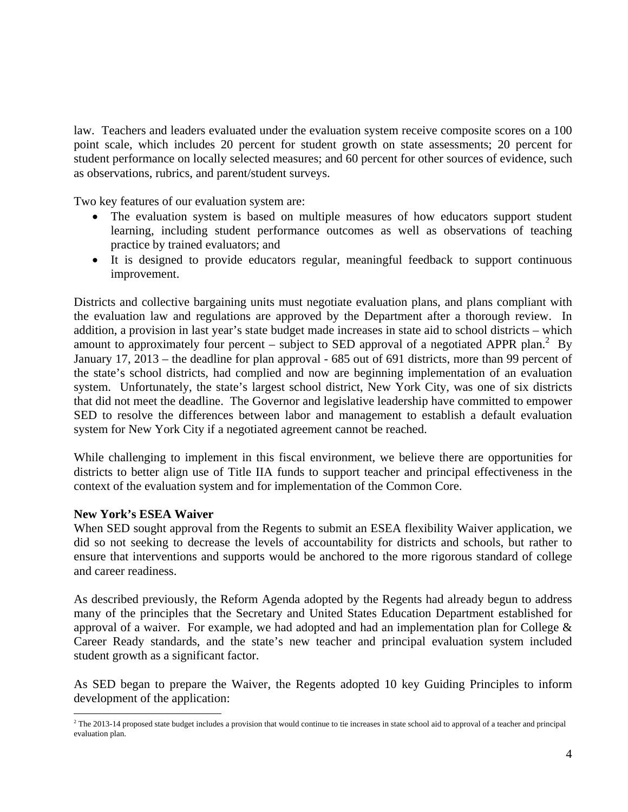law. Teachers and leaders evaluated under the evaluation system receive composite scores on a 100 point scale, which includes 20 percent for student growth on state assessments; 20 percent for student performance on locally selected measures; and 60 percent for other sources of evidence, such as observations, rubrics, and parent/student surveys.

Two key features of our evaluation system are:

- The evaluation system is based on multiple measures of how educators support student learning, including student performance outcomes as well as observations of teaching practice by trained evaluators; and
- It is designed to provide educators regular, meaningful feedback to support continuous improvement.

Districts and collective bargaining units must negotiate evaluation plans, and plans compliant with the evaluation law and regulations are approved by the Department after a thorough review. In addition, a provision in last year's state budget made increases in state aid to school districts – which amount to approximately four percent – subject to SED approval of a negotiated APPR plan.<sup>2</sup> By January 17, 2013 – the deadline for plan approval - 685 out of 691 districts, more than 99 percent of the state's school districts, had complied and now are beginning implementation of an evaluation system. Unfortunately, the state's largest school district, New York City, was one of six districts that did not meet the deadline. The Governor and legislative leadership have committed to empower SED to resolve the differences between labor and management to establish a default evaluation system for New York City if a negotiated agreement cannot be reached.

While challenging to implement in this fiscal environment, we believe there are opportunities for districts to better align use of Title IIA funds to support teacher and principal effectiveness in the context of the evaluation system and for implementation of the Common Core.

### **New York's ESEA Waiver**

When SED sought approval from the Regents to submit an ESEA flexibility Waiver application, we did so not seeking to decrease the levels of accountability for districts and schools, but rather to ensure that interventions and supports would be anchored to the more rigorous standard of college and career readiness.

As described previously, the Reform Agenda adopted by the Regents had already begun to address many of the principles that the Secretary and United States Education Department established for approval of a waiver. For example, we had adopted and had an implementation plan for College  $\&$ Career Ready standards, and the state's new teacher and principal evaluation system included student growth as a significant factor.

As SED began to prepare the Waiver, the Regents adopted 10 key Guiding Principles to inform development of the application:

 2 The 2013-14 proposed state budget includes a provision that would continue to tie increases in state school aid to approval of a teacher and principal evaluation plan.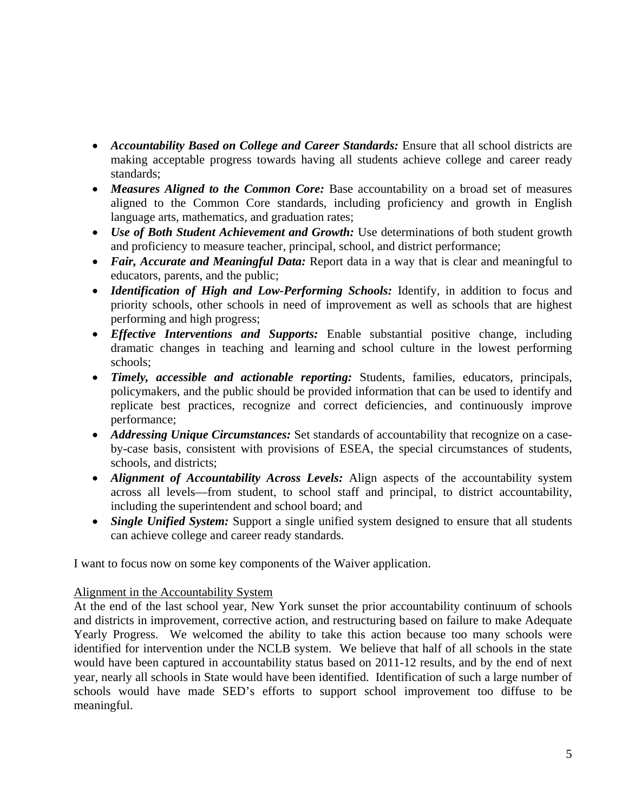- Accountability Based on College and Career Standards: Ensure that all school districts are making acceptable progress towards having all students achieve college and career ready standards;
- *Measures Aligned to the Common Core:* Base accountability on a broad set of measures aligned to the Common Core standards, including proficiency and growth in English language arts, mathematics, and graduation rates;
- *Use of Both Student Achievement and Growth:* Use determinations of both student growth and proficiency to measure teacher, principal, school, and district performance;
- *Fair, Accurate and Meaningful Data:* Report data in a way that is clear and meaningful to educators, parents, and the public;
- *Identification of High and Low-Performing Schools:* Identify, in addition to focus and priority schools, other schools in need of improvement as well as schools that are highest performing and high progress;
- *Effective Interventions and Supports:* Enable substantial positive change, including dramatic changes in teaching and learning and school culture in the lowest performing schools;
- *Timely, accessible and actionable reporting:* Students, families, educators, principals, policymakers, and the public should be provided information that can be used to identify and replicate best practices, recognize and correct deficiencies, and continuously improve performance;
- *Addressing Unique Circumstances:* Set standards of accountability that recognize on a caseby-case basis, consistent with provisions of ESEA, the special circumstances of students, schools, and districts;
- Alignment of Accountability Across Levels: Align aspects of the accountability system across all levels—from student, to school staff and principal, to district accountability, including the superintendent and school board; and
- *Single Unified System:* Support a single unified system designed to ensure that all students can achieve college and career ready standards.

I want to focus now on some key components of the Waiver application.

# Alignment in the Accountability System

At the end of the last school year, New York sunset the prior accountability continuum of schools and districts in improvement, corrective action, and restructuring based on failure to make Adequate Yearly Progress. We welcomed the ability to take this action because too many schools were identified for intervention under the NCLB system. We believe that half of all schools in the state would have been captured in accountability status based on 2011-12 results, and by the end of next year, nearly all schools in State would have been identified. Identification of such a large number of schools would have made SED's efforts to support school improvement too diffuse to be meaningful.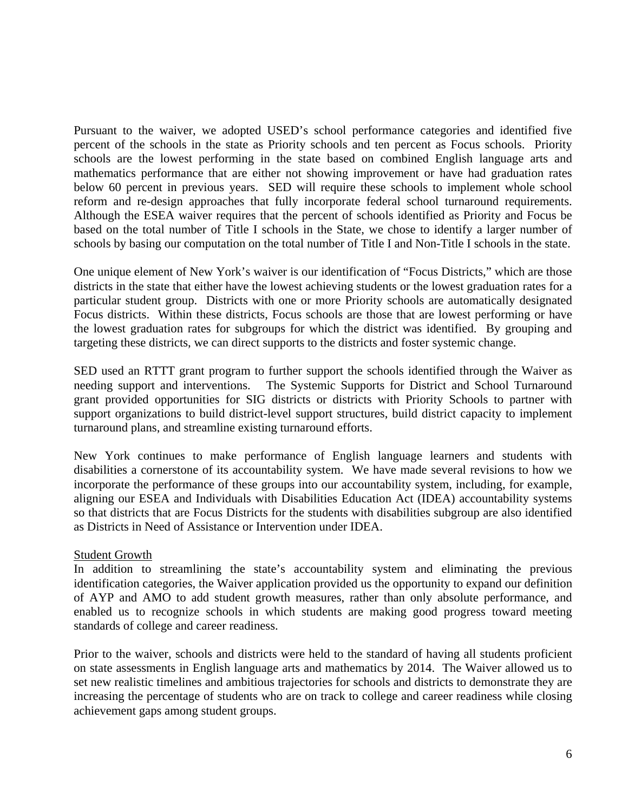Pursuant to the waiver, we adopted USED's school performance categories and identified five percent of the schools in the state as Priority schools and ten percent as Focus schools. Priority schools are the lowest performing in the state based on combined English language arts and mathematics performance that are either not showing improvement or have had graduation rates below 60 percent in previous years. SED will require these schools to implement whole school reform and re-design approaches that fully incorporate federal school turnaround requirements. Although the ESEA waiver requires that the percent of schools identified as Priority and Focus be based on the total number of Title I schools in the State, we chose to identify a larger number of schools by basing our computation on the total number of Title I and Non-Title I schools in the state.

One unique element of New York's waiver is our identification of "Focus Districts," which are those districts in the state that either have the lowest achieving students or the lowest graduation rates for a particular student group. Districts with one or more Priority schools are automatically designated Focus districts. Within these districts, Focus schools are those that are lowest performing or have the lowest graduation rates for subgroups for which the district was identified. By grouping and targeting these districts, we can direct supports to the districts and foster systemic change.

SED used an RTTT grant program to further support the schools identified through the Waiver as needing support and interventions. The Systemic Supports for District and School Turnaround grant provided opportunities for SIG districts or districts with Priority Schools to partner with support organizations to build district-level support structures, build district capacity to implement turnaround plans, and streamline existing turnaround efforts.

New York continues to make performance of English language learners and students with disabilities a cornerstone of its accountability system. We have made several revisions to how we incorporate the performance of these groups into our accountability system, including, for example, aligning our ESEA and Individuals with Disabilities Education Act (IDEA) accountability systems so that districts that are Focus Districts for the students with disabilities subgroup are also identified as Districts in Need of Assistance or Intervention under IDEA.

# Student Growth

In addition to streamlining the state's accountability system and eliminating the previous identification categories, the Waiver application provided us the opportunity to expand our definition of AYP and AMO to add student growth measures, rather than only absolute performance, and enabled us to recognize schools in which students are making good progress toward meeting standards of college and career readiness.

Prior to the waiver, schools and districts were held to the standard of having all students proficient on state assessments in English language arts and mathematics by 2014. The Waiver allowed us to set new realistic timelines and ambitious trajectories for schools and districts to demonstrate they are increasing the percentage of students who are on track to college and career readiness while closing achievement gaps among student groups.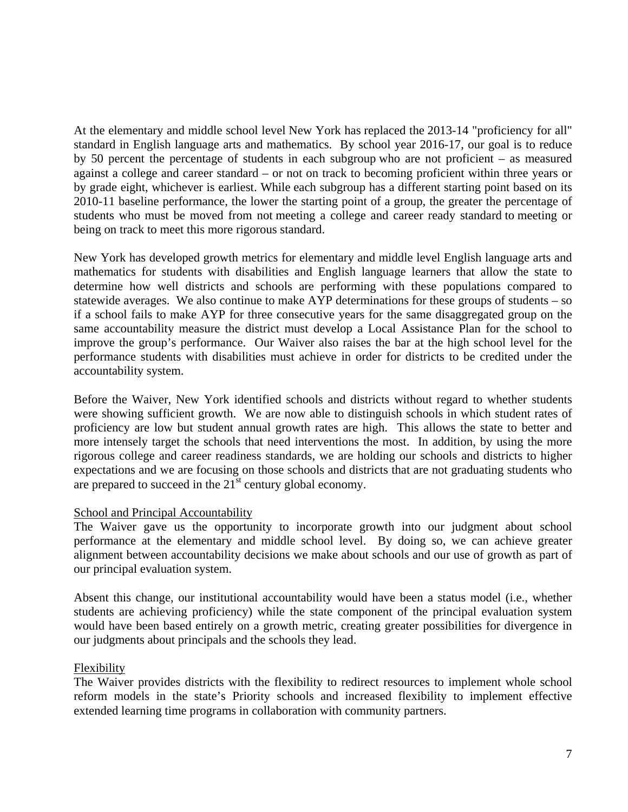At the elementary and middle school level New York has replaced the 2013-14 "proficiency for all" standard in English language arts and mathematics. By school year 2016-17, our goal is to reduce by 50 percent the percentage of students in each subgroup who are not proficient – as measured against a college and career standard – or not on track to becoming proficient within three years or by grade eight, whichever is earliest. While each subgroup has a different starting point based on its 2010-11 baseline performance, the lower the starting point of a group, the greater the percentage of students who must be moved from not meeting a college and career ready standard to meeting or being on track to meet this more rigorous standard.

New York has developed growth metrics for elementary and middle level English language arts and mathematics for students with disabilities and English language learners that allow the state to determine how well districts and schools are performing with these populations compared to statewide averages. We also continue to make AYP determinations for these groups of students – so if a school fails to make AYP for three consecutive years for the same disaggregated group on the same accountability measure the district must develop a Local Assistance Plan for the school to improve the group's performance. Our Waiver also raises the bar at the high school level for the performance students with disabilities must achieve in order for districts to be credited under the accountability system.

Before the Waiver, New York identified schools and districts without regard to whether students were showing sufficient growth. We are now able to distinguish schools in which student rates of proficiency are low but student annual growth rates are high. This allows the state to better and more intensely target the schools that need interventions the most. In addition, by using the more rigorous college and career readiness standards, we are holding our schools and districts to higher expectations and we are focusing on those schools and districts that are not graduating students who are prepared to succeed in the  $21<sup>st</sup>$  century global economy.

### School and Principal Accountability

The Waiver gave us the opportunity to incorporate growth into our judgment about school performance at the elementary and middle school level. By doing so, we can achieve greater alignment between accountability decisions we make about schools and our use of growth as part of our principal evaluation system.

Absent this change, our institutional accountability would have been a status model (i.e., whether students are achieving proficiency) while the state component of the principal evaluation system would have been based entirely on a growth metric, creating greater possibilities for divergence in our judgments about principals and the schools they lead.

# Flexibility

The Waiver provides districts with the flexibility to redirect resources to implement whole school reform models in the state's Priority schools and increased flexibility to implement effective extended learning time programs in collaboration with community partners.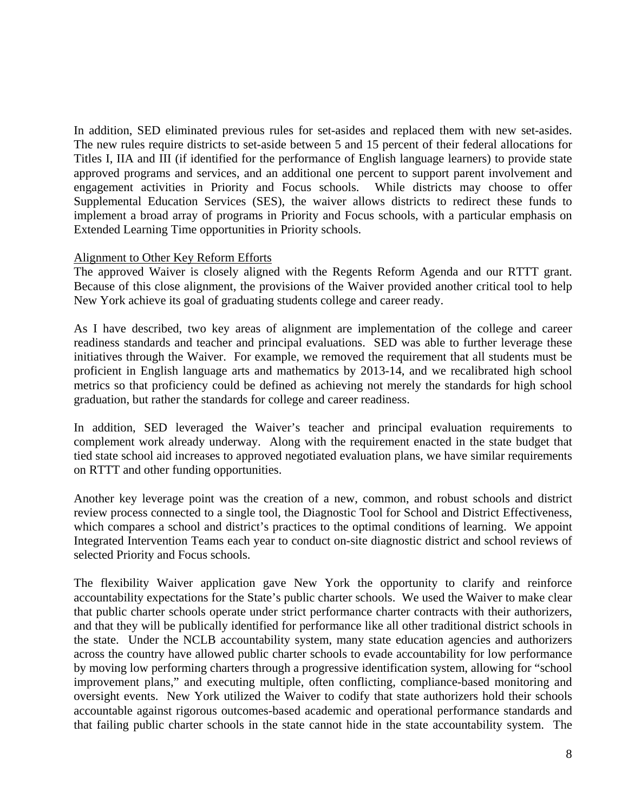In addition, SED eliminated previous rules for set-asides and replaced them with new set-asides. The new rules require districts to set-aside between 5 and 15 percent of their federal allocations for Titles I, IIA and III (if identified for the performance of English language learners) to provide state approved programs and services, and an additional one percent to support parent involvement and engagement activities in Priority and Focus schools. While districts may choose to offer Supplemental Education Services (SES), the waiver allows districts to redirect these funds to implement a broad array of programs in Priority and Focus schools, with a particular emphasis on Extended Learning Time opportunities in Priority schools.

### Alignment to Other Key Reform Efforts

The approved Waiver is closely aligned with the Regents Reform Agenda and our RTTT grant. Because of this close alignment, the provisions of the Waiver provided another critical tool to help New York achieve its goal of graduating students college and career ready.

As I have described, two key areas of alignment are implementation of the college and career readiness standards and teacher and principal evaluations. SED was able to further leverage these initiatives through the Waiver. For example, we removed the requirement that all students must be proficient in English language arts and mathematics by 2013-14, and we recalibrated high school metrics so that proficiency could be defined as achieving not merely the standards for high school graduation, but rather the standards for college and career readiness.

In addition, SED leveraged the Waiver's teacher and principal evaluation requirements to complement work already underway. Along with the requirement enacted in the state budget that tied state school aid increases to approved negotiated evaluation plans, we have similar requirements on RTTT and other funding opportunities.

Another key leverage point was the creation of a new, common, and robust schools and district review process connected to a single tool, the Diagnostic Tool for School and District Effectiveness, which compares a school and district's practices to the optimal conditions of learning. We appoint Integrated Intervention Teams each year to conduct on-site diagnostic district and school reviews of selected Priority and Focus schools.

The flexibility Waiver application gave New York the opportunity to clarify and reinforce accountability expectations for the State's public charter schools. We used the Waiver to make clear that public charter schools operate under strict performance charter contracts with their authorizers, and that they will be publically identified for performance like all other traditional district schools in the state. Under the NCLB accountability system, many state education agencies and authorizers across the country have allowed public charter schools to evade accountability for low performance by moving low performing charters through a progressive identification system, allowing for "school improvement plans," and executing multiple, often conflicting, compliance-based monitoring and oversight events. New York utilized the Waiver to codify that state authorizers hold their schools accountable against rigorous outcomes-based academic and operational performance standards and that failing public charter schools in the state cannot hide in the state accountability system. The